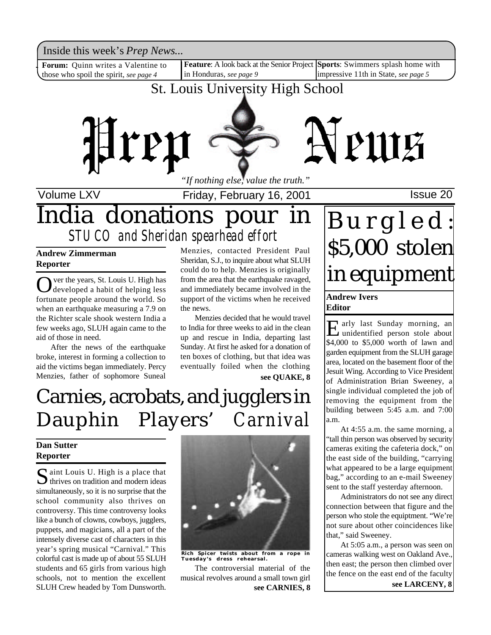Inside this week's *Prep News*...

Forum: Quinn writes a Valentine to those who spoil the spirit, *see page 4*

Inside this week's *Prep News*...<br>**Forum:** Quinn writes a Valentine to **Feature**: A look back at the Senior Project Sports: Swimmers splash home with in Honduras, *see page 9* impressive 11th in State, *see page 5*

## St. Louis University High School



Volume LXV **Interpretent Controller Friday, February 16, 2001 ISSue 20** 

## India donations pour in *STUCO and Sheridan spearhead effort*

### **Andrew Zimmerman Reporter**

O ver the years, St. Louis U. High has<br>developed a habit of helping less ver the years, St. Louis U. High has fortunate people around the world. So when an earthquake measuring a 7.9 on the Richter scale shook western India a few weeks ago, SLUH again came to the aid of those in need.

After the news of the earthquake broke, interest in forming a collection to aid the victims began immediately. Percy Menzies, father of sophomore Suneal

Menzies, contacted President Paul Sheridan, S.J., to inquire about what SLUH could do to help. Menzies is originally from the area that the earthquake ravaged, and immediately became involved in the support of the victims when he received the news.

Menzies decided that he would travel to India for three weeks to aid in the clean up and rescue in India, departing last Sunday. At first he asked for a donation of ten boxes of clothing, but that idea was eventually foiled when the clothing **see QUAKE, 8**

# Carnies, acrobats, and jugglers in Dauphin Players' *Carnival*

### **Dan Sutter Reporter**

Saint Louis U. High is a place that<br>thrives on tradition and modern ideas  $\sum$  thrives on tradition and modern ideas simultaneously, so it is no surprise that the school community also thrives on controversy. This time controversy looks like a bunch of clowns, cowboys, jugglers, puppets, and magicians, all a part of the intensely diverse cast of characters in this year's spring musical "Carnival." This colorful cast is made up of about 55 SLUH students and 65 girls from various high schools, not to mention the excellent SLUH Crew headed by Tom Dunsworth.



**Rich Spicer twists about from a rope in Tuesday's dress rehearsal.**

The controversial material of the musical revolves around a small town girl **see CARNIES, 8**

# B u r g l e d : \$5,000 stolen in equipment

### **Andrew Ivers Editor**

E arly last Sunday morning, an<br>
unidentified person stole about unidentified person stole about \$4,000 to \$5,000 worth of lawn and garden equipment from the SLUH garage area, located on the basement floor of the Jesuit Wing. According to Vice President of Administration Brian Sweeney, a single individual completed the job of removing the equipment from the building between 5:45 a.m. and 7:00 a.m.

At 4:55 a.m. the same morning, a "tall thin person was observed by security cameras exiting the cafeteria dock," on the east side of the building, "carrying what appeared to be a large equipment bag," according to an e-mail Sweeney sent to the staff yesterday afternoon.

Administrators do not see any direct connection between that figure and the person who stole the equiptment. "We're not sure about other coincidences like that," said Sweeney.

At 5:05 a.m., a person was seen on cameras walking west on Oakland Ave., then east; the person then climbed over the fence on the east end of the faculty

**see LARCENY, 8**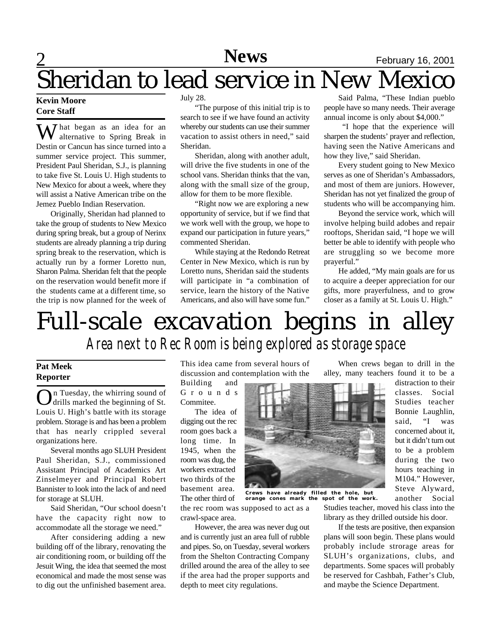## 2 **News** February 16, 2001

### **Kevin Moore Core Staff** Sheridan to lead service in New Mexico

 $\overline{\mathbf{W}}$  hat began as an idea for an alternative to Spring Break in Destin or Cancun has since turned into a summer service project. This summer, President Paul Sheridan, S.J., is planning to take five St. Louis U. High students to New Mexico for about a week, where they will assist a Native American tribe on the Jemez Pueblo Indian Reservation.

Originally, Sheridan had planned to take the group of students to New Mexico during spring break, but a group of Nerinx students are already planning a trip during spring break to the reservation, which is actually run by a former Loretto nun, Sharon Palma. Sheridan felt that the people on the reservation would benefit more if the students came at a different time, so the trip is now planned for the week of July 28.

"The purpose of this initial trip is to search to see if we have found an activity whereby our students can use their summer vacation to assist others in need," said Sheridan.

Sheridan, along with another adult, will drive the five students in one of the school vans. Sheridan thinks that the van, along with the small size of the group, allow for them to be more flexible.

"Right now we are exploring a new opportunity of service, but if we find that we work well with the group, we hope to expand our participation in future years," commented Sheridan.

While staying at the Redondo Retreat Center in New Mexico, which is run by Loretto nuns, Sheridan said the students will participate in "a combination of service, learn the history of the Native Americans, and also will have some fun."

Said Palma, "These Indian pueblo people have so many needs. Their average annual income is only about \$4,000."

"I hope that the experience will sharpen the students' prayer and reflection, having seen the Native Americans and how they live," said Sheridan.

Every student going to New Mexico serves as one of Sheridan's Ambassadors, and most of them are juniors. However, Sheridan has not yet finalized the group of students who will be accompanying him.

Beyond the service work, which will involve helping build adobes and repair rooftops, Sheridan said, "I hope we will better be able to identify with people who are struggling so we become more prayerful."

He added, "My main goals are for us to acquire a deeper appreciation for our gifts, more prayerfulness, and to grow closer as a family at St. Louis U. High."

## Full-scale excavation begins in alley *Area next to Rec Room is being explored as storage space*

### **Pat Meek Reporter**

On Tuesday, the whirring sound of<br>drills marked the beginning of St. drills marked the beginning of St. Louis U. High's battle with its storage problem. Storage is and has been a problem that has nearly crippled several organizations here.

Several months ago SLUH President Paul Sheridan, S.J., commissioned Assistant Principal of Academics Art Zinselmeyer and Principal Robert Bannister to look into the lack of and need for storage at SLUH.

Said Sheridan, "Our school doesn't have the capacity right now to accommodate all the storage we need."

After considering adding a new building off of the library, renovating the air conditioning room, or building off the Jesuit Wing, the idea that seemed the most economical and made the most sense was to dig out the unfinished basement area.

This idea came from several hours of discussion and contemplation with the

Building and G r o u n d s Commitee.

The idea of digging out the rec room goes back a long time. In 1945, when the room was dug, the workers extracted two thirds of the basement area. The other third of



**Crews have already filled the hole, but orange cones mark the spot of the work.**

the rec room was supposed to act as a crawl-space area.

However, the area was never dug out and is currently just an area full of rubble and pipes. So, on Tuesday, several workers from the Shelton Contracting Company drilled around the area of the alley to see if the area had the proper supports and depth to meet city regulations.

When crews began to drill in the alley, many teachers found it to be a

> distraction to their classes. Social Studies teacher Bonnie Laughlin, said, "I was concerned about it, but it didn't turn out to be a problem during the two hours teaching in M104." However, Steve Alyward, another Social

Studies teacher, moved his class into the library as they drilled outside his door.

If the tests are positive, then expansion plans will soon begin. These plans would probably include strorage areas for SLUH's organizations, clubs, and departments. Some spaces will probably be reserved for Cashbah, Father's Club, and maybe the Science Department.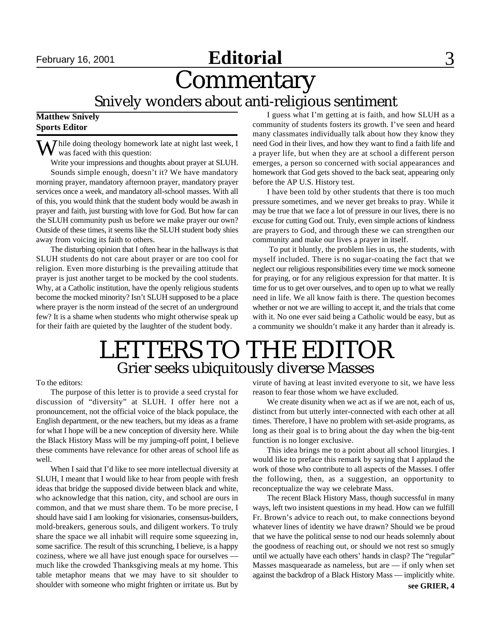# **Editorial** September 16, 2001 **Editorial** 3

**Commentary** 

Snively wonders about anti-religious sentiment

### **Matthew Snively Sports Editor**

 $\sum$  Thile doing theology homework late at night last week, I was faced with this question:

Write your impressions and thoughts about prayer at SLUH. Sounds simple enough, doesn't it? We have mandatory morning prayer, mandatory afternoon prayer, mandatory prayer services once a week, and mandatory all-school masses. With all of this, you would think that the student body would be awash in prayer and faith, just bursting with love for God. But how far can the SLUH community push us before we make prayer our own? Outside of these times, it seems like the SLUH student body shies away from voicing its faith to others.

The disturbing opinion that I often hear in the hallways is that SLUH students do not care about prayer or are too cool for religion. Even more disturbing is the prevailing attitude that prayer is just another target to be mocked by the cool students. Why, at a Catholic institution, have the openly religious students become the mocked minority? Isn't SLUH supposed to be a place where prayer is the norm instead of the secret of an underground few? It is a shame when students who might otherwise speak up for their faith are quieted by the laughter of the student body.

I guess what I'm getting at is faith, and how SLUH as a community of students fosters its growth. I've seen and heard many classmates individually talk about how they know they need God in their lives, and how they want to find a faith life and a prayer life, but when they are at school a different person emerges, a person so concerned with social appearances and homework that God gets shoved to the back seat, appearing only before the AP U.S. History test.

I have been told by other students that there is too much pressure sometimes, and we never get breaks to pray. While it may be true that we face a lot of pressure in our lives, there is no excuse for cutting God out. Truly, even simple actions of kindness are prayers to God, and through these we can strengthen our community and make our lives a prayer in itself.

 To put it bluntly, the problem lies in us, the students, with myself included. There is no sugar-coating the fact that we neglect our religious responsibilities every time we mock someone for praying, or for any religious expression for that matter. It is time for us to get over ourselves, and to open up to what we really need in life. We all know faith is there. The question becomes whether or not we are willing to accept it, and the trials that come with it. No one ever said being a Catholic would be easy, but as a community we shouldn't make it any harder than it already is.

## LETTERS TO THE EDITOR Grier seeks ubiquitously diverse Masses

To the editors:

The purpose of this letter is to provide a seed crystal for discussion of "diversity" at SLUH. I offer here not a pronouncement, not the official voice of the black populace, the English department, or the new teachers, but my ideas as a frame for what I hope will be a new conception of diversity here. While the Black History Mass will be my jumping-off point, I believe these comments have relevance for other areas of school life as well.

When I said that I'd like to see more intellectual diversity at SLUH, I meant that I would like to hear from people with fresh ideas that bridge the supposed divide between black and white, who acknowledge that this nation, city, and school are ours in common, and that we must share them. To be more precise, I should have said I am looking for visionaries, consensus-builders, mold-breakers, generous souls, and diligent workers. To truly share the space we all inhabit will require some squeezing in, some sacrifice. The result of this scrunching, I believe, is a happy coziness, where we all have just enough space for ourselves much like the crowded Thanksgiving meals at my home. This table metaphor means that we may have to sit shoulder to shoulder with someone who might frighten or irritate us. But by

virute of having at least invited everyone to sit, we have less reason to fear those whom we have excluded.

We create disunity when we act as if we are not, each of us, distinct from but utterly inter-connected with each other at all times. Therefore, I have no problem with set-aside programs, as long as their goal is to bring about the day when the big-tent function is no longer exclusive.

This idea brings me to a point about all school liturgies. I would like to preface this remark by saying that I applaud the work of those who contribute to all aspects of the Masses. I offer the following, then, as a suggestion, an opportunity to reconceptualize the way we celebrate Mass.

The recent Black History Mass, though successful in many ways, left two insistent questions in my head. How can we fulfill Fr. Brown's advice to reach out, to make connections beyond whatever lines of identity we have drawn? Should we be proud that we have the political sense to nod our heads solemnly about the goodness of reaching out, or should we not rest so smugly until we actually have each others' hands in clasp? The "regular" Masses masquearade as nameless, but are — if only when set against the backdrop of a Black History Mass — implicitly white.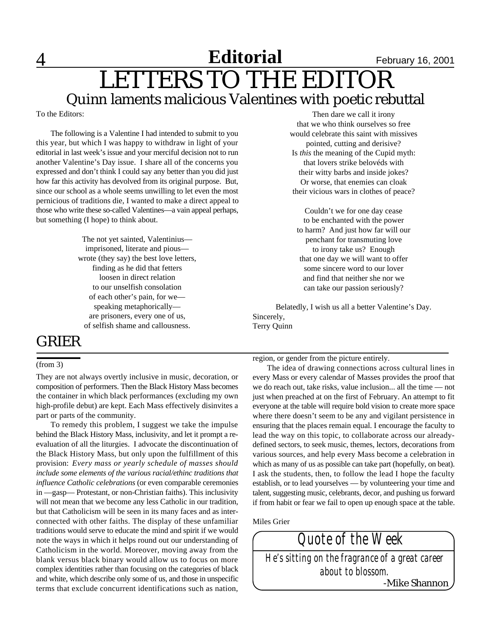### 4 **Editorial** February 16, 2001 LETTERS TO THE EDITOR Quinn laments malicious Valentines with poetic rebuttal **Editorial**

To the Editors:

The following is a Valentine I had intended to submit to you this year, but which I was happy to withdraw in light of your editorial in last week's issue and your merciful decision not to run another Valentine's Day issue. I share all of the concerns you expressed and don't think I could say any better than you did just how far this activity has devolved from its original purpose. But, since our school as a whole seems unwilling to let even the most pernicious of traditions die, I wanted to make a direct appeal to those who write these so-called Valentines—a vain appeal perhaps, but something (I hope) to think about.

> The not yet sainted, Valentinius imprisoned, literate and pious wrote (they say) the best love letters, finding as he did that fetters loosen in direct relation to our unselfish consolation of each other's pain, for we speaking metaphorically are prisoners, every one of us, of selfish shame and callousness.

### GRIER

#### (from 3)

They are not always overtly inclusive in music, decoration, or composition of performers. Then the Black History Mass becomes the container in which black performances (excluding my own high-profile debut) are kept. Each Mass effectively disinvites a part or parts of the community.

To remedy this problem, I suggest we take the impulse behind the Black History Mass, inclusivity, and let it prompt a reevaluation of all the liturgies. I advocate the discontinuation of the Black History Mass, but only upon the fulfillment of this provision: *Every mass or yearly schedule of masses should include some elements of the various racial/ethinc traditions that influence Catholic celebrations* (or even comparable ceremonies in —gasp— Protestant, or non-Christian faiths). This inclusivity will not mean that we become any less Catholic in our tradition, but that Catholicism will be seen in its many faces and as interconnected with other faiths. The display of these unfamiliar traditions would serve to educate the mind and spirit if we would note the ways in which it helps round out our understanding of Catholicism in the world. Moreover, moving away from the blank versus black binary would allow us to focus on more complex identities rather than focusing on the categories of black and white, which describe only some of us, and those in unspecific terms that exclude concurrent identifications such as nation,

Then dare we call it irony that we who think ourselves so free would celebrate this saint with missives pointed, cutting and derisive? Is *this* the meaning of the Cupid myth: that lovers strike belovéds with their witty barbs and inside jokes? Or worse, that enemies can cloak their vicious wars in clothes of peace?

Couldn't we for one day cease to be enchanted with the power to harm? And just how far will our penchant for transmuting love to irony take us? Enough that one day we will want to offer some sincere word to our lover and find that neither she nor we can take our passion seriously?

Belatedly, I wish us all a better Valentine's Day. Sincerely, Terry Quinn

region, or gender from the picture entirely.

The idea of drawing connections across cultural lines in every Mass or every calendar of Masses provides the proof that we do reach out, take risks, value inclusion... all the time — not just when preached at on the first of February. An attempt to fit everyone at the table will require bold vision to create more space where there doesn't seem to be any and vigilant persistence in ensuring that the places remain equal. I encourage the faculty to lead the way on this topic, to collaborate across our alreadydefined sectors, to seek music, themes, lectors, decorations from various sources, and help every Mass become a celebration in which as many of us as possible can take part (hopefully, on beat). I ask the students, then, to follow the lead I hope the faculty establish, or to lead yourselves — by volunteering your time and talent, suggesting music, celebrants, decor, and pushing us forward if from habit or fear we fail to open up enough space at the table.

Miles Grier

*Quote of the Week He's sitting on the fragrance of a great career about to blossom.* -Mike Shannon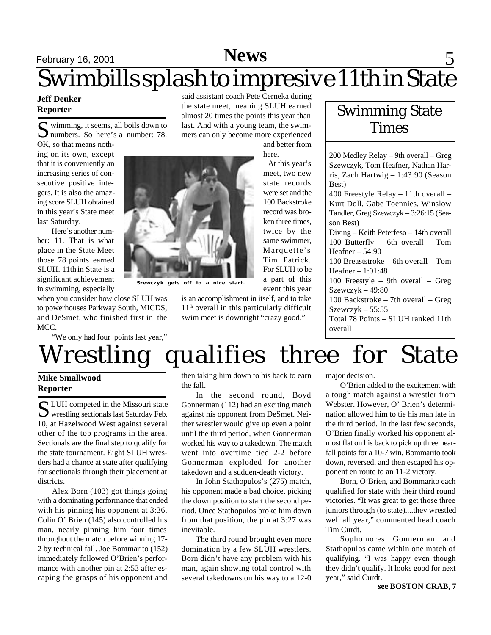## February 16, 2001 **News** 5 Swimbills splash to impresive 11th in State

### **Jeff Deuker Reporter**

S wimming, it seems, all boils down to<br>
Summers. So here's a number: 78. wimming, it seems, all boils down to

OK, so that means nothing on its own, except that it is conveniently an increasing series of consecutive positive integers. It is also the amazing score SLUH obtained in this year's State meet last Saturday.

Here's another number: 11. That is what place in the State Meet those 78 points earned SLUH. 11th in State is a significant achievement in swimming, especially

when you consider how close SLUH was to powerhouses Parkway South, MICDS, and DeSmet, who finished first in the MCC.

"We only had four points last year,"

said assistant coach Pete Cerneka during the state meet, meaning SLUH earned almost 20 times the points this year than last. And with a young team, the swimmers can only become more experienced

and better from here.

At this year's

400 Freestyle Relay – 11th overall – Kurt Doll, Gabe Toennies, Winslow Tandler, Greg Szewczyk – 3:26:15 (Season Best) Diving – Keith Peterfeso – 14th overall 100 Butterfly – 6th overall – Tom Heafner – 54:90 100 Breaststroke – 6th overall – Tom Heafner – 1:01:48 100 Freestyle – 9th overall – Greg

200 Medley Relay – 9th overall – Greg Szewczyk, Tom Heafner, Nathan Harris, Zach Hartwig – 1:43:90 (Season

Swimming State **Times** 

Szewczyk – 49:80 100 Backstroke – 7th overall – Greg Szewczyk – 55:55 Total 78 Points – SLUH ranked 11th overall

meet, two new state records were set and the 100 Backstroke record was broken three times, twice by the same swimmer, Marquette's Tim Patrick. For SLUH to be a part of this event this year

Wrestling qualifies three for State

### **Mike Smallwood Reporter**

S LUH competed in the Missouri state<br>wrestling sectionals last Saturday Feb. LUH competed in the Missouri state 10, at Hazelwood West against several other of the top programs in the area. Sectionals are the final step to qualify for the state tournament. Eight SLUH wrestlers had a chance at state after qualifying for sectionals through their placement at districts.

Alex Born (103) got things going with a dominating performance that ended with his pinning his opponent at 3:36. Colin O' Brien (145) also controlled his man, nearly pinning him four times throughout the match before winning 17- 2 by technical fall. Joe Bommarito (152) immediately followed O'Brien's performance with another pin at 2:53 after escaping the grasps of his opponent and then taking him down to his back to earn the fall.

In the second round, Boyd Gonnerman (112) had an exciting match against his opponent from DeSmet. Neither wrestler would give up even a point until the third period, when Gonnerman worked his way to a takedown. The match went into overtime tied 2-2 before Gonnerman exploded for another takedown and a sudden-death victory.

In John Stathopulos's (275) match, his opponent made a bad choice, picking the down position to start the second period. Once Stathopulos broke him down from that position, the pin at 3:27 was inevitable.

The third round brought even more domination by a few SLUH wrestlers. Born didn't have any problem with his man, again showing total control with several takedowns on his way to a 12-0

major decision.

Best)

O'Brien added to the excitement with a tough match against a wrestler from Webster. However, O' Brien's determination allowed him to tie his man late in the third period. In the last few seconds, O'Brien finally worked his opponent almost flat on his back to pick up three nearfall points for a 10-7 win. Bommarito took down, reversed, and then escaped his opponent en route to an 11-2 victory.

Born, O'Brien, and Bommarito each qualified for state with their third round victories. "It was great to get those three juniors through (to state)....they wrestled well all year," commented head coach Tim Curdt.

Sophomores Gonnerman and Stathopulos came within one match of qualifying. "I was happy even though they didn't qualify. It looks good for next year," said Curdt.

**Szewczyk gets off to a nice start.**

is an accomplishment in itself, and to take 11th overall in this particularly difficult swim meet is downright "crazy good."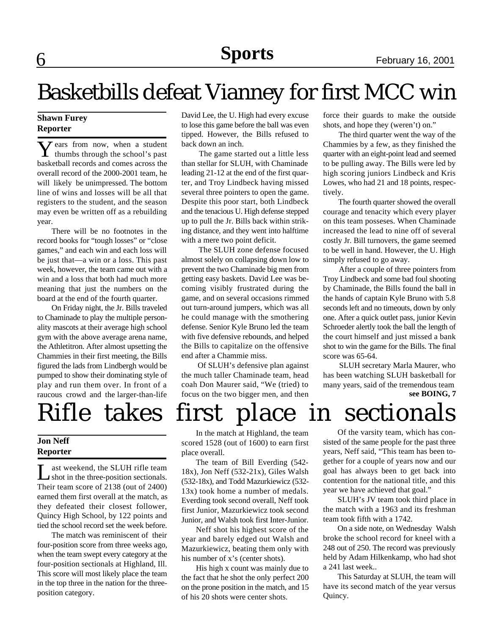# Basketbills defeat Vianney for first MCC win

### **Shawn Furey Reporter**

**Y** ears from now, when a student thumbs through the school's past  $\overline{Z}$  ears from now, when a student basketball records and comes across the overall record of the 2000-2001 team, he will likely be unimpressed. The bottom line of wins and losses will be all that registers to the student, and the season may even be written off as a rebuilding year.

There will be no footnotes in the record books for "tough losses" or "close games," and each win and each loss will be just that—a win or a loss. This past week, however, the team came out with a win and a loss that both had much more meaning that just the numbers on the board at the end of the fourth quarter.

On Friday night, the Jr. Bills traveled to Chaminade to play the multiple personality mascots at their average high school gym with the above average arena name, the Athletitron. After almost upsetting the Chammies in their first meeting, the Bills figured the lads from Lindbergh would be pumped to show their dominating style of play and run them over. In front of a raucous crowd and the larger-than-life

### **Jon Neff Reporter**

I ast weekend, the SLUH rifle team<br>
shot in the three-position sectionals. ast weekend, the SLUH rifle team Their team score of 2138 (out of 2400) earned them first overall at the match, as they defeated their closest follower, Quincy High School, by 122 points and tied the school record set the week before.

The match was reminiscent of their four-position score from three weeks ago, when the team swept every category at the four-position sectionals at Highland, Ill. This score will most likely place the team in the top three in the nation for the threeposition category.

David Lee, the U. High had every excuse to lose this game before the ball was even tipped. However, the Bills refused to back down an inch.

 The game started out a little less than stellar for SLUH, with Chaminade leading 21-12 at the end of the first quarter, and Troy Lindbeck having missed several three pointers to open the game. Despite this poor start, both Lindbeck and the tenacious U. High defense stepped up to pull the Jr. Bills back within striking distance, and they went into halftime with a mere two point deficit.

 The SLUH zone defense focused almost solely on collapsing down low to prevent the two Chaminade big men from getting easy baskets. David Lee was becoming visibly frustrated during the game, and on several occasions rimmed out turn-around jumpers, which was all he could manage with the smothering defense. Senior Kyle Bruno led the team with five defensive rebounds, and helped the Bills to capitalize on the offensive end after a Chammie miss.

 Of SLUH's defensive plan against the much taller Chaminade team, head coah Don Maurer said, "We (tried) to focus on the two bigger men, and then force their guards to make the outside shots, and hope they (weren't) on."

 The third quarter went the way of the Chammies by a few, as they finished the quarter with an eight-point lead and seemed to be pulling away. The Bills were led by high scoring juniors Lindbeck and Kris Lowes, who had 21 and 18 points, respectively.

 The fourth quarter showed the overall courage and tenacity which every player on this team posseses. When Chaminade increased the lead to nine off of several costly Jr. Bill turnovers, the game seemed to be well in hand. However, the U. High simply refused to go away.

 After a couple of three pointers from Troy Lindbeck and some bad foul shooting by Chaminade, the Bills found the ball in the hands of captain Kyle Bruno with 5.8 seconds left and no timeouts, down by only one. After a quick outlet pass, junior Kevin Schroeder alertly took the ball the length of the court himself and just missed a bank shot to win the game for the Bills. The final score was 65-64.

 SLUH secretary Marla Maurer, who has been watching SLUH basketball for many years, said of the tremendous team **see BOING, 7**

# Rifle takes first place in sectionals

In the match at Highland, the team scored 1528 (out of 1600) to earn first place overall.

The team of Bill Everding (542- 18x), Jon Neff (532-21x), Giles Walsh (532-18x), and Todd Mazurkiewicz (532- 13x) took home a number of medals. Everding took second overall, Neff took first Junior, Mazurkiewicz took second Junior, and Walsh took first Inter-Junior.

Neff shot his highest score of the year and barely edged out Walsh and Mazurkiewicz, beating them only with his number of x's (center shots).

His high x count was mainly due to the fact that he shot the only perfect 200 on the prone position in the match, and 15 of his 20 shots were center shots.

Of the varsity team, which has consisted of the same people for the past three years, Neff said, "This team has been together for a couple of years now and our goal has always been to get back into contention for the national title, and this year we have achieved that goal."

SLUH's JV team took third place in the match with a 1963 and its freshman team took fifth with a 1742.

On a side note, on Wednesday Walsh broke the school record for kneel with a 248 out of 250. The record was previously held by Adam Hilkenkamp, who had shot a 241 last week..

This Saturday at SLUH, the team will have its second match of the year versus Quincy.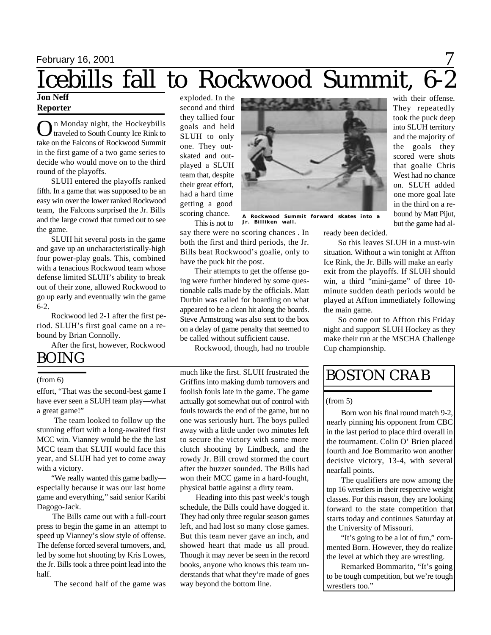# September 15, 2000 February 16, 2001 September 22, 2000November , 2000 **Sports News** 7 Icebills fall to Rockwood Summit, 6-2

both the first and third periods, the Jr. Bills beat Rockwood's goalie, only to

Their attempts to get the offense going were further hindered by some questionable calls made by the officials. Matt Durbin was called for boarding on what appeared to be a clean hit along the boards. Steve Armstrong was also sent to the box on a delay of game penalty that seemed to be called without sufficient cause.

Rockwood, though, had no trouble

much like the first. SLUH frustrated the

### **Jon Neff Reporter**

O n Monday night, the Hockeybills traveled to South County Ice Rink to take on the Falcons of Rockwood Summit in the first game of a two game series to decide who would move on to the third round of the playoffs.

SLUH entered the playoffs ranked fifth. In a game that was supposed to be an easy win over the lower ranked Rockwood team, the Falcons surprised the Jr. Bills and the large crowd that turned out to see the game.

SLUH hit several posts in the game and gave up an uncharacteristically-high four power-play goals. This, combined with a tenacious Rockwood team whose defense limited SLUH's ability to break out of their zone, allowed Rockwood to go up early and eventually win the game 6-2.

Rockwood led 2-1 after the first period. SLUH's first goal came on a rebound by Brian Connolly.

After the first, however, Rockwood

### BOING

### (from 6)

effort, "That was the second-best game I have ever seen a SLUH team play—what a great game!"

 The team looked to follow up the stunning effort with a long-awaited first MCC win. Vianney would be the the last MCC team that SLUH would face this year, and SLUH had yet to come away with a victory.

 "We really wanted this game badly especially because it was our last home game and everything," said senior Karibi Dagogo-Jack.

 The Bills came out with a full-court press to begin the game in an attempt to speed up Vianney's slow style of offense. The defense forced several turnovers, and, led by some hot shooting by Kris Lowes, the Jr. Bills took a three point lead into the half.

The second half of the game was

exploded. In the second and third they tallied four goals and held SLUH to only one. They outskated and outplayed a SLUH team that, despite their great effort, had a hard time getting a good scoring chance.

This is not to

have the puck hit the post.



say there were no scoring chances . In ready been decided.

> So this leaves SLUH in a must-win situation. Without a win tonight at Affton Ice Rink, the Jr. Bills will make an early exit from the playoffs. If SLUH should win, a third "mini-game" of three 10 minute sudden death periods would be played at Affton immediately following the main game.

> So come out to Affton this Friday night and support SLUH Hockey as they make their run at the MSCHA Challenge Cup championship.

### BOSTON CRAB

### (from 5)

Born won his final round match 9-2, nearly pinning his opponent from CBC in the last period to place third overall in the tournament. Colin O' Brien placed fourth and Joe Bommarito won another decisive victory, 13-4, with several nearfall points.

The qualifiers are now among the top 16 wrestlers in their respective weight classes. For this reason, they are looking forward to the state competition that starts today and continues Saturday at the University of Missouri.

"It's going to be a lot of fun," commented Born. However, they do realize the level at which they are wrestling.

Remarked Bommarito, "It's going to be tough competition, but we're tough wrestlers too."

## **A Rockwood Summit forward skates into a Jr. Billiken wall.**

Griffins into making dumb turnovers and foolish fouls late in the game. The game actually got somewhat out of control with

fouls towards the end of the game, but no one was seriously hurt. The boys pulled away with a little under two minutes left to secure the victory with some more clutch shooting by Lindbeck, and the rowdy Jr. Bill crowd stormed the court after the buzzer sounded. The Bills had won their MCC game in a hard-fought, physical battle against a dirty team.

 Heading into this past week's tough schedule, the Bills could have dogged it. They had only three regular season games left, and had lost so many close games. But this team never gave an inch, and showed heart that made us all proud. Though it may never be seen in the record books, anyone who knows this team understands that what they're made of goes way beyond the bottom line.

with their offense. They repeatedly took the puck deep into SLUH territory and the majority of the goals they scored were shots that goalie Chris West had no chance on. SLUH added one more goal late in the third on a rebound by Matt Pijut, but the game had al-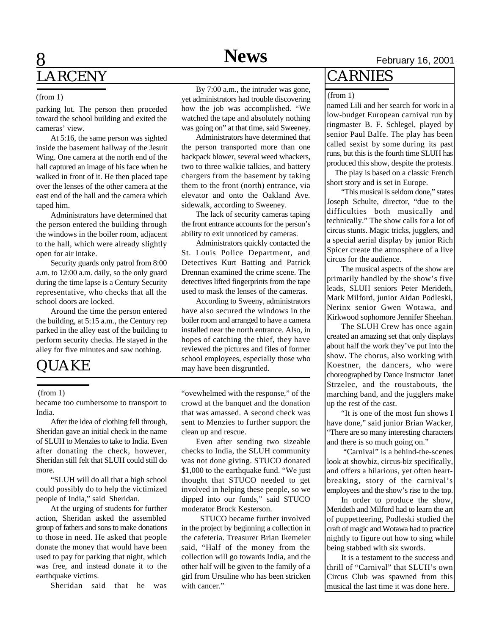## **8 News** February 16, 2001 LARCENY

#### (from 1)

parking lot. The person then proceded toward the school building and exited the cameras' view.

At 5:16, the same person was sighted inside the basement hallway of the Jesuit Wing. One camera at the north end of the hall captured an image of his face when he walked in front of it. He then placed tape over the lenses of the other camera at the east end of the hall and the camera which taped him.

Administrators have determined that the person entered the building through the windows in the boiler room, adjacent to the hall, which were already slightly open for air intake.

Security guards only patrol from 8:00 a.m. to 12:00 a.m. daily, so the only guard during the time lapse is a Century Security representative, who checks that all the school doors are locked.

Around the time the person entered the building, at 5:15 a.m., the Century rep parked in the alley east of the building to perform security checks. He stayed in the alley for five minutes and saw nothing.

## QUAKE

### (from 1)

became too cumbersome to transport to India.

After the idea of clothing fell through, Sheridan gave an initial check in the name of SLUH to Menzies to take to India. Even after donating the check, however, Sheridan still felt that SLUH could still do more.

"SLUH will do all that a high school could possibly do to help the victimized people of India," said Sheridan.

At the urging of students for further action, Sheridan asked the assembled group of fathers and sons to make donations to those in need. He asked that people donate the money that would have been used to pay for parking that night, which was free, and instead donate it to the earthquake victims.

Sheridan said that he was

By 7:00 a.m., the intruder was gone, yet administrators had trouble discovering how the job was accomplished. "We watched the tape and absolutely nothing was going on" at that time, said Sweeney.

Administrators have determined that the person transported more than one backpack blower, several weed whackers, two to three walkie talkies, and battery chargers from the basement by taking them to the front (north) entrance, via elevator and onto the Oakland Ave. sidewalk, according to Sweeney.

The lack of security cameras taping the front entrance accounts for the person's ability to exit unnoticed by cameras.

Administrators quickly contacted the St. Louis Police Department, and Detectives Kurt Batting and Patrick Drennan examined the crime scene. The detectives lifted fingerprints from the tape used to mask the lenses of the cameras.

According to Sweeny, administrators have also secured the windows in the boiler room and arranged to have a camera installed near the north entrance. Also, in hopes of catching the thief, they have reviewed the pictures and files of former school employees, especially those who may have been disgruntled.

"ovewhelmed with the response," of the crowd at the banquet and the donation that was amassed. A second check was sent to Menzies to further support the clean up and rescue.

Even after sending two sizeable checks to India, the SLUH community was not done giving. STUCO donated \$1,000 to the earthquake fund. "We just thought that STUCO needed to get involved in helping these people, so we dipped into our funds," said STUCO moderator Brock Kesterson.

 STUCO became further involved in the project by beginning a collection in the cafeteria. Treasurer Brian Ikemeier said, "Half of the money from the collection will go towards India, and the other half will be given to the family of a girl from Ursuline who has been stricken with cancer."

### CARNIES

#### (from 1)

named Lili and her search for work in a low-budget European carnival run by ringmaster B. F. Schlegel, played by senior Paul Balfe. The play has been called sexist by some during its past runs, but this is the fourth time SLUH has produced this show, despite the protests.

 The play is based on a classic French short story and is set in Europe.

"This musical is seldom done," states Joseph Schulte, director, "due to the difficulties both musically and technically." The show calls for a lot of circus stunts. Magic tricks, jugglers, and a special aerial display by junior Rich Spicer create the atmosphere of a live circus for the audience.

The musical aspects of the show are primarily handled by the show's five leads, SLUH seniors Peter Merideth, Mark Milford, junior Aidan Podleski, Nerinx senior Gwen Wotawa, and Kirkwood sophomore Jennifer Sheehan.

The SLUH Crew has once again created an amazing set that only displays about half the work they've put into the show. The chorus, also working with Koestner, the dancers, who were choreographed by Dance Instructor Janet Strzelec, and the roustabouts, the marching band, and the jugglers make up the rest of the cast.

"It is one of the most fun shows I have done," said junior Brian Wacker, "There are so many interesting characters and there is so much going on."

 "Carnival" is a behind-the-scenes look at showbiz, circus-biz specifically, and offers a hilarious, yet often heartbreaking, story of the carnival's employees and the show's rise to the top.

In order to produce the show, Merideth and Milford had to learn the art of puppetteering, Podleski studied the craft of magic and Wotawa had to practice nightly to figure out how to sing while being stabbed with six swords.

It is a testament to the success and thrill of "Carnival" that SLUH's own Circus Club was spawned from this musical the last time it was done here.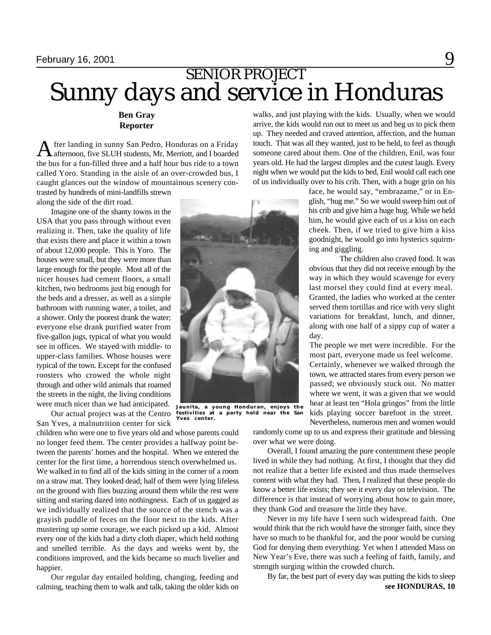## Sunny days and service in Honduras SENIOR PROJECT

**Ben Gray Reporter**

A afternoon, five SLUH students, Mr. Merriott, and I boarded fter landing in sunny San Pedro, Honduras on a Friday the bus for a fun-filled three and a half hour bus ride to a town called Yoro. Standing in the aisle of an over-crowded bus, I caught glances out the window of mountainous scenery contrasted by hundreds of mini-landfills strewn

along the side of the dirt road.

Imagine one of the shanty towns in the USA that you pass through without even realizing it. Then, take the quality of life that exists there and place it within a town of about 12,000 people. This is Yoro. The houses were small, but they were more than large enough for the people. Most all of the nicer houses had cement floors, a small kitchen, two bedrooms just big enough for the beds and a dresser, as well as a simple bathroom with running water, a toilet, and a shower. Only the poorest drank the water; everyone else drank purified water from five-gallon jugs, typical of what you would see in offices. We stayed with middle- to upper-class families. Whose houses were typical of the town. Except for the confused roosters who crowed the whole night through and other wild animals that roamed the streets in the night, the living conditions were much nicer than we had anticipated.

Our actual project was at the Centro San Yves, a malnutrition center for sick

children who were one to five years old and whose parents could no longer feed them. The center provides a halfway point between the parents' homes and the hospital. When we entered the center for the first time, a horrendous stench overwhelmed us. We walked in to find all of the kids sitting in the corner of a room on a straw mat. They looked dead; half of them were lying lifeless on the ground with flies buzzing around them while the rest were sitting and staring dazed into nothingness. Each of us gagged as we individually realized that the source of the stench was a grayish puddle of feces on the floor next to the kids. After mustering up some courage, we each picked up a kid. Almost every one of the kids had a dirty cloth diaper, which held nothing and smelled terrible. As the days and weeks went by, the conditions improved, and the kids became so much livelier and happier.

Our regular day entailed holding, changing, feeding and calming, teaching them to walk and talk, taking the older kids on

walks, and just playing with the kids. Usually, when we would arrive, the kids would run out to meet us and beg us to pick them up. They needed and craved attention, affection, and the human touch. That was all they wanted, just to be held, to feel as though someone cared about them. One of the children, Enil, was four years old. He had the largest dimples and the cutest laugh. Every night when we would put the kids to bed, Enil would call each one of us individually over to his crib. Then, with a huge grin on his

> face, he would say, "embrazame," or in English, "hug me." So we would sweep him out of his crib and give him a huge hug. While we held him, he would give each of us a kiss on each cheek. Then, if we tried to give him a kiss goodnight, he would go into hysterics squirming and giggling.

> The children also craved food. It was obvious that they did not receive enough by the way in which they would scavenge for every last morsel they could find at every meal. Granted, the ladies who worked at the center served them tortillas and rice with very slight variations for breakfast, lunch, and dinner, along with one half of a sippy cup of water a day.

> The people we met were incredible. For the most part, everyone made us feel welcome. Certainly, whenever we walked through the town, we attracted stares from every person we passed; we obviously stuck out. No matter where we went, it was a given that we would hear at least ten "Hola gringos" from the little kids playing soccer barefoot in the street. Nevertheless, numerous men and women would

randomly come up to us and express their gratitude and blessing over what we were doing.

Overall, I found amazing the pure contentment these people lived in while they had nothing. At first, I thought that they did not realize that a better life existed and thus made themselves content with what they had. Then, I realized that these people do know a better life exists; they see it every day on television. The difference is that instead of worrying about how to gain more, they thank God and treasure the little they have.

Never in my life have I seen such widespread faith. One would think that the rich would have the stronger faith, since they have so much to be thankful for, and the poor would be cursing God for denying them everything. Yet when I attended Mass on New Year's Eve, there was such a feeling of faith, family, and strength surging within the crowded church.

By far, the best part of every day was putting the kids to sleep **see HONDURAS, 10**



**Jaunita, a young Honduran, enjoys the festivities at a party held near the San Yves center.**